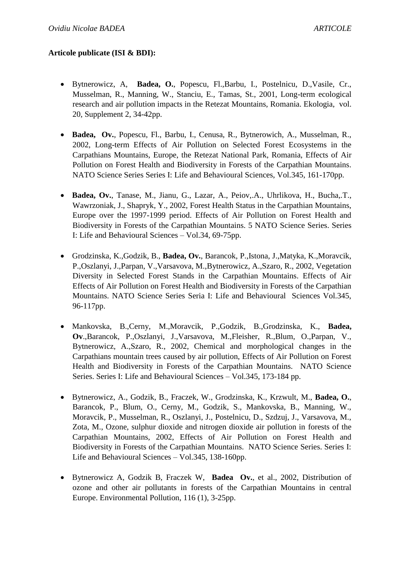## **Articole publicate (ISI & BDI):**

- Bytnerowicz, A, **Badea, O.**, Popescu, Fl.,Barbu, I., Postelnicu, D.,Vasile, Cr., Musselman, R., Manning, W., Stanciu, E., Tamas, St., 2001, Long-term ecological research and air pollution impacts in the Retezat Mountains, Romania. Ekologia, vol. 20, Supplement 2, 34-42pp.
- **Badea, Ov.**, Popescu, Fl., Barbu, I., Cenusa, R., Bytnerowich, A., Musselman, R., 2002, Long-term Effects of Air Pollution on Selected Forest Ecosystems in the Carpathians Mountains, Europe, the Retezat National Park, Romania, Effects of Air Pollution on Forest Health and Biodiversity in Forests of the Carpathian Mountains. NATO Science Series Series I: Life and Behavioural Sciences, Vol.345, 161-170pp.
- **Badea, Ov.**, Tanase, M., Jianu, G., Lazar, A., Peiov,.A., Uhrlikova, H., Bucha,.T., Wawrzoniak, J., Shapryk, Y., 2002, Forest Health Status in the Carpathian Mountains, Europe over the 1997-1999 period. Effects of Air Pollution on Forest Health and Biodiversity in Forests of the Carpathian Mountains. 5 NATO Science Series. Series I: Life and Behavioural Sciences – Vol.34, 69-75pp.
- Grodzinska, K.,Godzik, B., **Badea, Ov.**, Barancok, P.,Istona, J.,Matyka, K.,Moravcik, P.,Oszlanyi, J.,Parpan, V.,Varsavova, M.,Bytnerowicz, A.,Szaro, R., 2002, Vegetation Diversity in Selected Forest Stands in the Carpathian Mountains. Effects of Air Effects of Air Pollution on Forest Health and Biodiversity in Forests of the Carpathian Mountains. NATO Science Series Seria I: Life and Behavioural Sciences Vol.345, 96-117pp.
- Mankovska, B.,Cerny, M.,Moravcik, P.,Godzik, B.,Grodzinska, K., **Badea, Ov**.,Barancok, P.,Oszlanyi, J.,Varsavova, M.,Fleisher, R.,Blum, O.,Parpan, V., Bytnerowicz, A.,Szaro, R., 2002, Chemical and morphological changes in the Carpathians mountain trees caused by air pollution, Effects of Air Pollution on Forest Health and Biodiversity in Forests of the Carpathian Mountains. NATO Science Series. Series I: Life and Behavioural Sciences – Vol.345, 173-184 pp.
- Bytnerowicz, A., Godzik, B., Fraczek, W., Grodzinska, K., Krzwult, M., **Badea, O.**, Barancok, P., Blum, O., Cerny, M., Godzik, S., Mankovska, B., Manning, W., Moravcik, P., Musselman, R., Oszlanyi, J., Postelnicu, D., Szdzuj, J., Varsavova, M., Zota, M., Ozone, sulphur dioxide and nitrogen dioxide air pollution in forests of the Carpathian Mountains, 2002, Effects of Air Pollution on Forest Health and Biodiversity in Forests of the Carpathian Mountains. NATO Science Series. Series I: Life and Behavioural Sciences – Vol.345, 138-160pp.
- Bytnerowicz A, Godzik B, Fraczek W, **Badea Ov.**, et al., 2002, Distribution of ozone and other air pollutants in forests of the Carpathian Mountains in central Europe. Environmental Pollution, 116 (1), 3-25pp.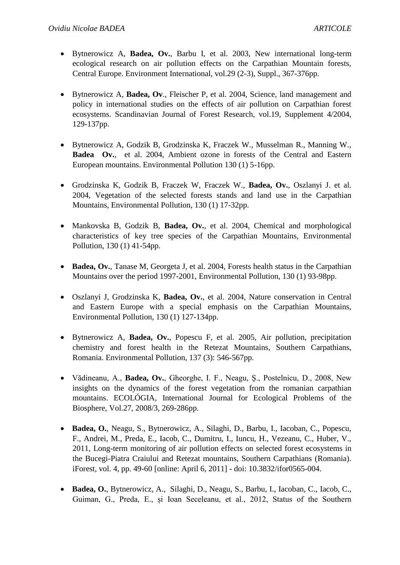- Bytnerowicz A, **Badea, Ov.**, Barbu I, et al. 2003, New international long-term ecological research on air pollution effects on the Carpathian Mountain forests, Central Europe. Environment International, vol.29 (2-3), Suppl., 367-376pp.
- Bytnerowicz A, **Badea, Ov**., Fleischer P, et al. 2004, Science, land management and policy in international studies on the effects of air pollution on Carpathian forest ecosystems. Scandinavian Journal of Forest Research, vol.19, Supplement 4/2004, 129-137pp.
- Bytnerowicz A, Godzik B, Grodzinska K, Fraczek W., Musselman R., Manning W., **Badea Ov.**, et al. 2004, Ambient ozone in forests of the Central and Eastern European mountains. Environmental Pollution 130 (1) 5-16pp.
- Grodzinska K, Godzik B, Fraczek W, Fraczek W., **Badea, Ov.**, Oszlanyi J. et al. 2004, Vegetation of the selected forests stands and land use in the Carpathian Mountains, Environmental Pollution, 130 (1) 17-32pp.
- Mankovska B, Godzik B, **Badea, Ov.**, et al. 2004, Chemical and morphological characteristics of key tree species of the Carpathian Mountains, Environmental Pollution, 130 (1) 41-54pp.
- Badea, Ov., Tanase M, Georgeta J, et al. 2004, Forests health status in the Carpathian Mountains over the period 1997-2001, Environmental Pollution, 130 (1) 93-98pp.
- Oszlanyi J, Grodzinska K, **Badea, Ov.**, et al. 2004, Nature conservation in Central and Eastern Europe with a special emphasis on the Carpathian Mountains, Environmental Pollution, 130 (1) 127-134pp.
- Bytnerowicz A, **Badea, Ov.**, Popescu F, et al. 2005, Air pollution, precipitation chemistry and forest health in the Retezat Mountains, Southern Carpathians, Romania. Environmental Pollution, 137 (3): 546-567pp.
- Vădineanu, A., **Badea, Ov.**, Gheorghe, I. F., Neagu, Ş., Postelnicu, D., 2008, New insights on the dynamics of the forest vegetation from the romanian carpathian mountains. ECOLÓGIA, International Journal for Ecological Problems of the Biosphere, Vol.27, 2008/3, 269-286pp.
- **Badea, O.**, Neagu, S., Bytnerowicz, A., Silaghi, D., Barbu, I., Iacoban, C., Popescu, F., Andrei, M., Preda, E., Iacob, C., Dumitru, I., Iuncu, H., Vezeanu, C., Huber, V., 2011, Long-term monitoring of air pollution effects on selected forest ecosystems in the Bucegi-Piatra Craiului and Retezat mountains, Southern Carpathians (Romania). iForest, vol. 4, pp. 49-60 [online: April 6, 2011] - doi: 10.3832/ifor0565-004.
- **Badea, O.**, Bytnerowicz, A., Silaghi, D., Neagu, S., Barbu, I., Iacoban, C., Iacob, C., Guiman, G., Preda, E., și Ioan Seceleanu, et al., 2012, Status of the Southern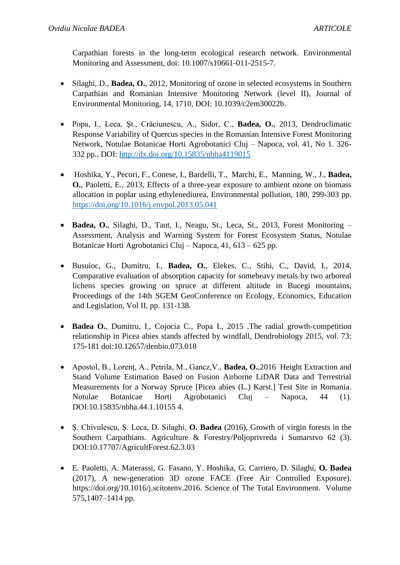Carpathian forests in the long-term ecological research network. Environmental Monitoring and Assessment, doi: 10.1007/s10661-011-2515-7.

- Silaghi, D., **Badea, O.**, 2012, Monitoring of ozone in selected ecosystems in Southern Carpathian and Romanian Intensive Monitoring Network (level II), Journal of Environmental Monitoring, 14, 1710, DOI: 10.1039/c2em30022b.
- Popa, I., Leca, Şt., Crăciunescu, A., Sidor, C., **Badea, O.**, 2013, Dendroclimatic Response Variability of Quercus species in the Romanian Intensive Forest Monitoring Network, Notulae Botanicae Horti Agrobotanici Cluj – Napoca, vol. 41, No 1. 326- 332 pp., DOI:<http://dx.doi.org/10.15835/nbha4119015>
- Hoshika, Y., Pecori, F., Conese, I., Bardelli, T., Marchi, E., Manning, W., J., **Badea, O.**, Paoletti, E., 2013, Effects of a three-year exposure to ambient ozone on biomass allocation in poplar using ethylenediurea, Environmental pollution, 180, 299-303 pp. <https://doi.org/10.1016/j.envpol.2013.05.041>
- **Badea, O.**, Silaghi, D., Taut, I., Neagu, St., Leca, St., 2013, Forest Monitoring Assessment, Analysis and Warning System for Forest Ecosystem Status, Notulae Botanicae Horti Agrobotanici Cluj – Napoca, 41, 613 – 625 pp.
- Busuioc, G., Dumitru, I., **Badea, O.**, Elekes, C., Stihi, C., David, I., 2014, Comparative evaluation of absorption capacity for someheavy metals by two arboreal lichens species growing on spruce at different altitude in Bucegi mountains, Proceedings of the 14th SGEM GeoConference on Ecology, Economics, Education and Legislation, Vol II, pp. 131-138.
- **Badea O.**, Dumitru, I., Cojocia C., Popa I., 2015 .The radial growth-competition relationship in Picea abies stands affected by windfall, Dendrobiology 2015, vol. 73: 175-181 doi:10.12657/denbio.073.018
- Apostol, B., Lorenț, A., Petrila, M., Gancz,V., **Badea, O.**,2016 Height Extraction and Stand Volume Estimation Based on Fusion Airborne LiDAR Data and Terrestrial Measurements for a Norway Spruce [Picea abies (L.) Karst.] Test Site in Romania. Notulae Botanicae Horti Agrobotanici Cluj – Napoca, 44 (1). DOI:10.15835/nbha.44.1.10155 4.
- Ș. Chivulescu, Ș. Leca, D. Silaghi, **O. Badea** (2016), Growth of virgin forests in the Southern Carpathians. Agriculture & Forestry/Poljoprivreda i Sumarstvo 62 (3). DOI:10.17707/AgricultForest.62.3.03
- E. Paoletti, A. Materassi, G. Fasano, Y. Hoshika, G. Carriero, D. Silaghi, **O. Badea** (2017), A new-generation 3D ozone FACE (Free Air Controlled Exposure). https://doi.org/10.1016/j.scitotenv.2016. Science of The Total Environment. Volume 575,1407–1414 pp.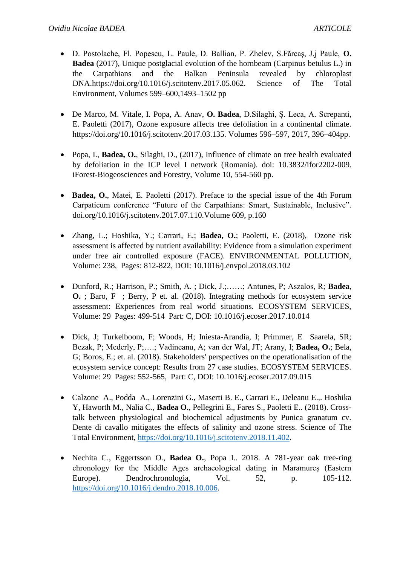- D. Postolache, Fl. Popescu, L. Paule, D. Ballian, P. Zhelev, S.Fărcaş, J.j Paule, **O. Badea** (2017), Unique postglacial evolution of the hornbeam (Carpinus betulus L.) in the Carpathians and the Balkan Peninsula revealed by chloroplast DNA.https://doi.org/10.1016/j.scitotenv.2017.05.062. Science of The Total Environment, Volumes 599–600,1493–1502 pp
- De Marco, M. Vitale, I. Popa, A. Anav, **O. Badea**, D.Silaghi, Ș. Leca, A. Screpanti, E. Paoletti (2017), Ozone exposure affects tree defoliation in a continental climate. https://doi.org/10.1016/j.scitotenv.2017.03.135. Volumes 596–597, 2017, 396–404pp.
- Popa, I., **Badea, O.**, Silaghi, D., (2017), Influence of climate on tree health evaluated by defoliation in the ICP level I network (Romania). doi: 10.3832/ifor2202-009. iForest-Biogeosciences and Forestry, Volume 10, 554-560 pp.
- Badea, O., Matei, E. Paoletti (2017). Preface to the special issue of the 4th Forum Carpaticum conference "Future of the Carpathians: Smart, Sustainable, Inclusive". doi.org/10.1016/j.scitotenv.2017.07.110.Volume 609, p.160
- Zhang, L.; Hoshika, Y.; Carrari, E.; **Badea, O.**; Paoletti, E. (2018), Ozone risk assessment is affected by nutrient availability: Evidence from a simulation experiment under free air controlled exposure (FACE). ENVIRONMENTAL POLLUTION, Volume: 238, Pages: 812-822, DOI: 10.1016/j.envpol.2018.03.102
- Dunford, R.; Harrison, P.; Smith, A. ; Dick, J.;……; Antunes, P; Aszalos, R; **Badea**, **O.** ; Baro, F ; Berry, P et. al. (2018). Integrating methods for ecosystem service assessment: Experiences from real world situations. ECOSYSTEM SERVICES, Volume: 29 Pages: 499-514 Part: C, DOI: 10.1016/j.ecoser.2017.10.014
- Dick, J; Turkelboom, F; Woods, H; Iniesta-Arandia, I; Primmer, E Saarela, SR; Bezak, P; Mederly, P;….; Vadineanu, A; van der Wal, JT; Arany, I; **Badea, O.**; Bela, G; Boros, E.; et. al. (2018). Stakeholders' perspectives on the operationalisation of the ecosystem service concept: Results from 27 case studies. ECOSYSTEM SERVICES. Volume: 29 Pages: 552-565, Part: C, DOI: 10.1016/j.ecoser.2017.09.015
- Calzone A., Podda A., Lorenzini G., Maserti B. E., Carrari E., Deleanu E.,. Hoshika Y, Haworth M., Nalia C., **Badea O.**, Pellegrini E., Fares S., Paoletti E.. (2018). Crosstalk between physiological and biochemical adjustments by Punica granatum cv. Dente di cavallo mitigates the effects of salinity and ozone stress. Science of The Total Environment, [https://doi.org/10.1016/j.scitotenv.2018.11.402.](https://doi.org/10.1016/j.scitotenv.2018.11.402)
- Nechita C., Eggertsson O., **Badea O.**, Popa I.. 2018. A 781-year oak tree-ring chronology for the Middle Ages archaeological dating in Maramureș (Eastern Europe). Dendrochronologia, Vol. 52, p. 105-112. [https://doi.org/10.1016/j.dendro.2018.10.006.](https://doi.org/10.1016/j.dendro.2018.10.006)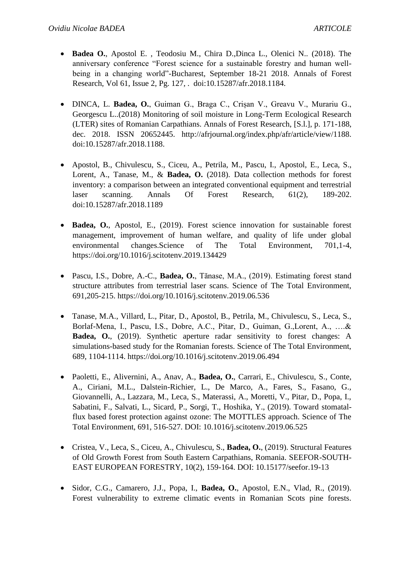- **Badea O.**, Apostol E. , Teodosiu M., Chira D.,Dinca L., Olenici N.. (2018). The anniversary conference "Forest science for a sustainable forestry and human wellbeing in a changing world"-Bucharest, September 18-21 2018. Annals of Forest Research, Vol 61, Issue 2, Pg. 127, . doi:10.15287/afr.2018.1184.
- DINCA, L. **Badea, O.**, Guiman G., Braga C., Crișan V., Greavu V., Murariu G., Georgescu L..(2018) Monitoring of soil moisture in Long-Term Ecological Research (LTER) sites of Romanian Carpathians. Annals of Forest Research, [S.l.], p. 171-188, dec. 2018. ISSN 20652445. http://afrjournal.org/index.php/afr/article/view/1188. doi:10.15287/afr.2018.1188.
- Apostol, B., Chivulescu, S., Ciceu, A., Petrila, M., Pascu, I., Apostol, E., Leca, S., Lorent, A., Tanase, M., & **Badea, O.** (2018). Data collection methods for forest inventory: a comparison between an integrated conventional equipment and terrestrial laser scanning. Annals Of Forest Research, 61(2), 189-202. doi:10.15287/afr.2018.1189
- **Badea, O.**, Apostol, E., (2019). Forest science innovation for sustainable forest management, improvement of human welfare, and quality of life under global environmental changes.Science of The Total Environment, 701,1-4, https://doi.org/10.1016/j.scitotenv.2019.134429
- Pascu, I.S., Dobre, A.-C., **Badea, O.**, Tănase, M.A., (2019). Estimating forest stand structure attributes from terrestrial laser scans. Science of The Total Environment, 691,205-215. https://doi.org/10.1016/j.scitotenv.2019.06.536
- Tanase, M.A., Villard, L., Pitar, D., Apostol, B., Petrila, M., Chivulescu, S., Leca, S., Borlaf-Mena, I., Pascu, I.S., Dobre, A.C., Pitar, D., Guiman, G.,Lorent, A., ….& **Badea, O.**, (2019). Synthetic aperture radar sensitivity to forest changes: A simulations-based study for the Romanian forests. Science of The Total Environment, 689, 1104-1114. https://doi.org/10.1016/j.scitotenv.2019.06.494
- Paoletti, E., Alivernini, A., Anav, A., **Badea, O.**, Carrari, E., Chivulescu, S., Conte, A., Ciriani, M.L., Dalstein-Richier, L., De Marco, A., Fares, S., Fasano, G., Giovannelli, A., Lazzara, M., Leca, S., Materassi, A., Moretti, V., Pitar, D., Popa, I., Sabatini, F., Salvati, L., Sicard, P., Sorgi, T., Hoshika, Y., (2019). Toward stomatalflux based forest protection against ozone: The MOTTLES approach. Science of The Total Environment, 691, 516-527. DOI: 10.1016/j.scitotenv.2019.06.525
- Cristea, V., Leca, S., Ciceu, A., Chivulescu, S., **Badea, O.**, (2019). Structural Features of Old Growth Forest from South Eastern Carpathians, Romania. SEEFOR-SOUTH-EAST EUROPEAN FORESTRY, 10(2), 159-164. DOI: 10.15177/seefor.19-13
- Sidor, C.G., Camarero, J.J., Popa, I., **Badea, O.**, Apostol, E.N., Vlad, R., (2019). Forest vulnerability to extreme climatic events in Romanian Scots pine forests.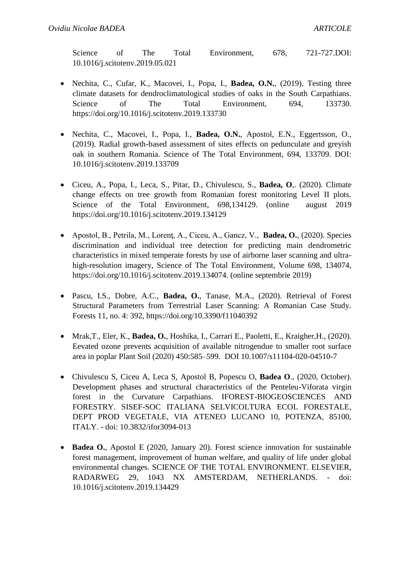Science of The Total Environment, 678, 721-727.DOI: 10.1016/j.scitotenv.2019.05.021

- Nechita, C., Cufar, K., Macovei, I., Popa, I., **Badea, O.N.**, (2019). Testing three climate datasets for dendroclimatological studies of oaks in the South Carpathians. Science of The Total Environment, 694, 133730. https://doi.org/10.1016/j.scitotenv.2019.133730
- Nechita, C., Macovei, I., Popa, I., **Badea, O.N.**, Apostol, E.N., Eggertsson, O., (2019). Radial growth-based assessment of sites effects on pedunculate and greyish oak in southern Romania. Science of The Total Environment, 694, 133709. DOI: 10.1016/j.scitotenv.2019.133709
- Ciceu, A., Popa, I., Leca, S., Pitar, D., Chivulescu, S., **Badea, O**,. (2020). Climate change effects on tree growth from Romanian forest monitoring Level II plots. Science of the Total Environment, 698,134129. (online august 2019) https://doi.org/10.1016/j.scitotenv.2019.134129
- Apostol, B., Petrila, M., Lorenţ, A., Ciceu, A., Gancz, V., **Badea, O.**, (2020). Species discrimination and individual tree detection for predicting main dendrometric characteristics in mixed temperate forests by use of airborne laser scanning and ultrahigh-resolution imagery, Science of The Total Environment, Volume 698, 134074, https://doi.org/10.1016/j.scitotenv.2019.134074. (online septembrie 2019)
- Pascu, I.S., Dobre, A.C., **Badea, O.**, Tanase, M.A., (2020). Retrieval of Forest Structural Parameters from Terrestrial Laser Scanning: A Romanian Case Study. Forests 11, no. 4: 392, https://doi.org/10.3390/f11040392
- Mrak,T., Eler, K., **Badea, O.**, Hoshika, I., Carrari E., Paoletti, E., Kraigher,H., (2020). Eevated ozone prevents acquisition of available nitrogendue to smaller root surface area in poplar Plant Soil (2020) 450:585–599. DOI 10.1007/s11104-020-04510-7
- Chivulescu S, Ciceu A, Leca S, Apostol B, Popescu O, **Badea O**., (2020, October). Development phases and structural characteristics of the Penteleu-Viforata virgin forest in the Curvature Carpathians. IFOREST-BIOGEOSCIENCES AND FORESTRY. SISEF-SOC ITALIANA SELVICOLTURA ECOL FORESTALE, DEPT PROD VEGETALE, VIA ATENEO LUCANO 10, POTENZA, 85100, ITALY. - doi: 10.3832/ifor3094-013
- **Badea O.**, Apostol E (2020, January 20). Forest science innovation for sustainable forest management, improvement of human welfare, and quality of life under global environmental changes. SCIENCE OF THE TOTAL ENVIRONMENT. ELSEVIER, RADARWEG 29, 1043 NX AMSTERDAM, NETHERLANDS. - doi: 10.1016/j.scitotenv.2019.134429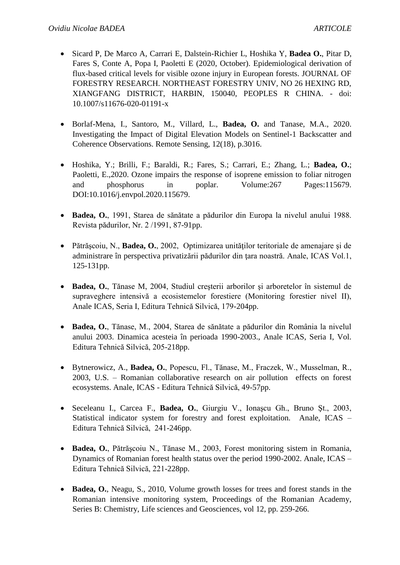- Sicard P, De Marco A, Carrari E, Dalstein-Richier L, Hoshika Y, **Badea O.**, Pitar D, Fares S, Conte A, Popa I, Paoletti E (2020, October). Epidemiological derivation of flux-based critical levels for visible ozone injury in European forests. JOURNAL OF FORESTRY RESEARCH. NORTHEAST FORESTRY UNIV, NO 26 HEXING RD, XIANGFANG DISTRICT, HARBIN, 150040, PEOPLES R CHINA. - doi: 10.1007/s11676-020-01191-x
- Borlaf-Mena, I., Santoro, M., Villard, L., **Badea, O.** and Tanase, M.A., 2020. Investigating the Impact of Digital Elevation Models on Sentinel-1 Backscatter and Coherence Observations. Remote Sensing, 12(18), p.3016.
- Hoshika, Y.; Brilli, F.; Baraldi, R.; Fares, S.; Carrari, E.; Zhang, L.; **Badea, O.**; Paoletti, E.,2020. Ozone impairs the response of isoprene emission to foliar nitrogen and phosphorus in poplar. Volume:267 Pages:115679. DOI:10.1016/j.envpol.2020.115679.
- **Badea, O.**, 1991, Starea de sănătate a pădurilor din Europa la nivelul anului 1988. Revista pădurilor, Nr. 2 /1991, 87-91pp.
- Pătrăşcoiu, N., **Badea, O.**, 2002, Optimizarea unităţilor teritoriale de amenajare şi de administrare în perspectiva privatizării pădurilor din ţara noastră. Anale, ICAS Vol.1, 125-131pp.
- **Badea, O.**, Tănase M, 2004, Studiul creşterii arborilor şi arboretelor în sistemul de supraveghere intensivă a ecosistemelor forestiere (Monitoring forestier nivel II), Anale ICAS, Seria I, Editura Tehnică Silvică, 179-204pp.
- **Badea, O.**, Tănase, M., 2004, Starea de sănătate a pădurilor din România la nivelul anului 2003. Dinamica acesteia în perioada 1990-2003., Anale ICAS, Seria I, Vol. Editura Tehnică Silvică, 205-218pp.
- Bytnerowicz, A., **Badea, O.**, Popescu, Fl., Tănase, M., Fraczek, W., Musselman, R., 2003, U.S. – Romanian collaborative research on air pollution effects on forest ecosystems. Anale, ICAS - Editura Tehnică Silvică, 49-57pp.
- Seceleanu I., Carcea F., **Badea, O.**, Giurgiu V., Ionaşcu Gh., Bruno Şt., 2003, Statistical indicator system for forestry and forest exploitation. Anale, ICAS – Editura Tehnică Silvică, 241-246pp.
- **Badea, O.**, Pătrăşcoiu N., Tănase M., 2003, Forest monitoring sistem in Romania, Dynamics of Romanian forest health status over the period 1990-2002. Anale, ICAS – Editura Tehnică Silvică, 221-228pp.
- **Badea, O.**, Neagu, S., 2010, Volume growth losses for trees and forest stands in the Romanian intensive monitoring system, Proceedings of the Romanian Academy, Series B: Chemistry, Life sciences and Geosciences, vol 12, pp. 259-266.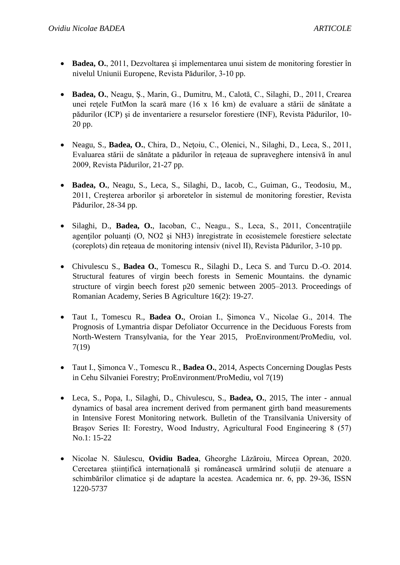- **Badea, O.**, 2011, Dezvoltarea şi implementarea unui sistem de monitoring forestier în nivelul Uniunii Europene, Revista Pădurilor, 3-10 pp.
- **Badea, O.**, Neagu, Ş., Marin, G., Dumitru, M., Calotă, C., Silaghi, D., 2011, Crearea unei reţele FutMon la scară mare (16 x 16 km) de evaluare a stării de sănătate a pădurilor (ICP) şi de inventariere a resurselor forestiere (INF), Revista Pădurilor, 10- 20 pp.
- Neagu, S., **Badea, O.**, Chira, D., Neţoiu, C., Olenici, N., Silaghi, D., Leca, S., 2011, Evaluarea stării de sănătate a pădurilor în reţeaua de supraveghere intensivă în anul 2009, Revista Pădurilor, 21-27 pp.
- **Badea, O.**, Neagu, S., Leca, S., Silaghi, D., Iacob, C., Guiman, G., Teodosiu, M., 2011, Creşterea arborilor şi arboretelor în sistemul de monitoring forestier, Revista Pădurilor, 28-34 pp.
- Silaghi, D., **Badea, O.**, Iacoban, C., Neagu., S., Leca, S., 2011, Concentratiile agenţilor poluanţi (O, NO2 şi NH3) înregistrate în ecosistemele forestiere selectate (coreplots) din reţeaua de monitoring intensiv (nivel II), Revista Pădurilor, 3-10 pp.
- Chivulescu S., **Badea O.**, Tomescu R., Silaghi D., Leca S. and Turcu D.-O. 2014. Structural features of virgin beech forests in Semenic Mountains. the dynamic structure of virgin beech forest p20 semenic between 2005–2013. Proceedings of Romanian Academy, Series B Agriculture 16(2): 19-27.
- Taut I., Tomescu R., **Badea O.**, Oroian I., Șimonca V., Nicolae G., 2014. The Prognosis of Lymantria dispar Defoliator Occurrence in the Deciduous Forests from North-Western Transylvania, for the Year 2015, ProEnvironment/ProMediu, vol. 7(19)
- Taut I., Șimonca V., Tomescu R., **Badea O.**, 2014, Aspects Concerning Douglas Pests in Cehu Silvaniei Forestry; ProEnvironment/ProMediu, vol 7(19)
- Leca, S., Popa, I., Silaghi, D., Chivulescu, S., **Badea, O.**, 2015, The inter annual dynamics of basal area increment derived from permanent girth band measurements in Intensive Forest Monitoring network. Bulletin of the Transilvania University of Braşov Series II: Forestry, Wood Industry, Agricultural Food Engineering 8 (57) No.1: 15-22
- Nicolae N. Săulescu, **Ovidiu Badea**, Gheorghe Lăzăroiu, Mircea Oprean, 2020. Cercetarea științifică internațională și românească urmărind soluții de atenuare a schimbărilor climatice și de adaptare la acestea. Academica nr. 6, pp. 29-36, ISSN 1220-5737